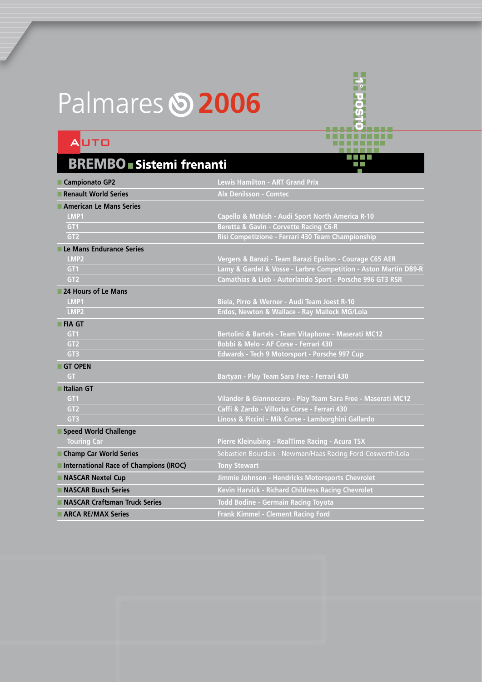## Palmares **5 2006**

## AUTO

## BREMBO ■ Sistemi frenanti

| ■ Campionato GP2                       | <b>Lewis Hamilton - ART Grand Prix</b>                          |
|----------------------------------------|-----------------------------------------------------------------|
| Renault World Series                   | <b>Alx Denilsson - Comtec</b>                                   |
| American Le Mans Series                |                                                                 |
| LMP1                                   | Capello & McNish - Audi Sport North America R-10                |
| GT <sub>1</sub>                        | Beretta & Gavin - Corvette Racing C6-R                          |
| GT <sub>2</sub>                        | Risi Competizione - Ferrari 430 Team Championship               |
| Le Mans Endurance Series               |                                                                 |
| LMP <sub>2</sub>                       | Vergers & Barazi - Team Barazi Epsilon - Courage C65 AER        |
| GT1                                    | Lamy & Gardel & Vosse - Larbre Competition - Aston Martin DB9-R |
| GT <sub>2</sub>                        | Camathias & Lieb - Autorlando Sport - Porsche 996 GT3 RSR       |
| 24 Hours of Le Mans                    |                                                                 |
| LMP1                                   | Biela, Pirro & Werner - Audi Team Joest R-10                    |
| LMP <sub>2</sub>                       | Erdos, Newton & Wallace - Ray Mallock MG/Lola                   |
| <b>FIA GT</b>                          |                                                                 |
| GT <sub>1</sub>                        | Bertolini & Bartels - Team Vitaphone - Maserati MC12            |
| GT <sub>2</sub>                        | Bobbi & Melo - AF Corse - Ferrari 430                           |
| GT <sub>3</sub>                        | Edwards - Tech 9 Motorsport - Porsche 997 Cup                   |
| <b>GT OPEN</b>                         |                                                                 |
| <b>GT</b>                              | Bartyan - Play Team Sara Free - Ferrari 430                     |
| <b>Halian GT</b>                       |                                                                 |
| GT <sub>1</sub>                        | Vilander & Giannoccaro - Play Team Sara Free - Maserati MC12    |
| GT <sub>2</sub>                        | Caffi & Zardo - Villorba Corse - Ferrari 430                    |
| GT3                                    | Linoss & Piccini - Mik Corse - Lamborghini Gallardo             |
| Speed World Challenge                  |                                                                 |
| <b>Touring Car</b>                     | Pierre Kleinubing - RealTime Racing - Acura TSX                 |
| Champ Car World Series                 | Sebastien Bourdais - Newman/Haas Racing Ford-Cosworth/Lola      |
| International Race of Champions (IROC) | <b>Tony Stewart</b>                                             |
| NASCAR Nextel Cup                      | Jimmie Johnson - Hendricks Motorsports Chevrolet                |
| NASCAR Busch Series                    | Kevin Harvick - Richard Childress Racing Chevrolet              |
| NASCAR Craftsman Truck Series          | <b>Todd Bodine - Germain Racing Toyota</b>                      |
| ARCA RE/MAX Series                     | Frank Kimmel - Clement Racing Ford                              |

**H**epo **1° posto**

<del>nne<sup>jo</sup>rne</del>

a kata